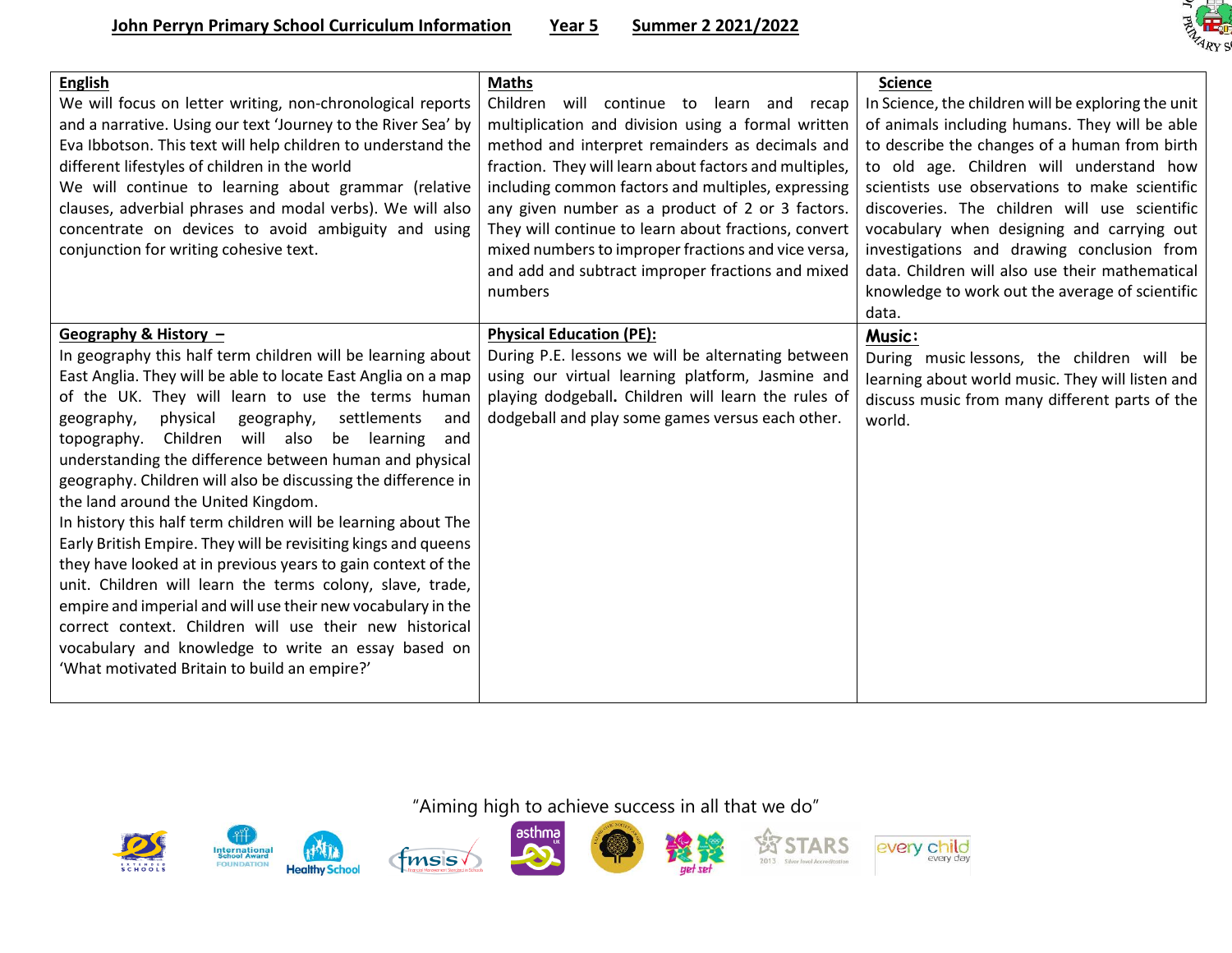

| <b>English</b><br>We will focus on letter writing, non-chronological reports<br>and a narrative. Using our text 'Journey to the River Sea' by<br>Eva Ibbotson. This text will help children to understand the<br>different lifestyles of children in the world<br>We will continue to learning about grammar (relative<br>clauses, adverbial phrases and modal verbs). We will also                                                                                                                                                                                                                                                                                                                                                                                                                                                                                                                                                                                                                   | <b>Maths</b><br>Children<br>will continue to learn and recap<br>multiplication and division using a formal written<br>method and interpret remainders as decimals and<br>fraction. They will learn about factors and multiples,<br>including common factors and multiples, expressing<br>any given number as a product of 2 or 3 factors. | <b>Science</b><br>In Science, the children will be exploring the unit<br>of animals including humans. They will be able<br>to describe the changes of a human from birth<br>to old age. Children will understand how<br>scientists use observations to make scientific<br>discoveries. The children will use scientific |
|-------------------------------------------------------------------------------------------------------------------------------------------------------------------------------------------------------------------------------------------------------------------------------------------------------------------------------------------------------------------------------------------------------------------------------------------------------------------------------------------------------------------------------------------------------------------------------------------------------------------------------------------------------------------------------------------------------------------------------------------------------------------------------------------------------------------------------------------------------------------------------------------------------------------------------------------------------------------------------------------------------|-------------------------------------------------------------------------------------------------------------------------------------------------------------------------------------------------------------------------------------------------------------------------------------------------------------------------------------------|-------------------------------------------------------------------------------------------------------------------------------------------------------------------------------------------------------------------------------------------------------------------------------------------------------------------------|
| concentrate on devices to avoid ambiguity and using<br>conjunction for writing cohesive text.                                                                                                                                                                                                                                                                                                                                                                                                                                                                                                                                                                                                                                                                                                                                                                                                                                                                                                         | They will continue to learn about fractions, convert<br>mixed numbers to improper fractions and vice versa,<br>and add and subtract improper fractions and mixed<br>numbers                                                                                                                                                               | vocabulary when designing and carrying out<br>investigations and drawing conclusion from<br>data. Children will also use their mathematical<br>knowledge to work out the average of scientific<br>data.                                                                                                                 |
| Geography & History -<br>In geography this half term children will be learning about<br>East Anglia. They will be able to locate East Anglia on a map<br>of the UK. They will learn to use the terms human<br>physical<br>settlements<br>geography,<br>geography,<br>and<br>topography. Children will also<br>be learning<br>and<br>understanding the difference between human and physical<br>geography. Children will also be discussing the difference in<br>the land around the United Kingdom.<br>In history this half term children will be learning about The<br>Early British Empire. They will be revisiting kings and queens<br>they have looked at in previous years to gain context of the<br>unit. Children will learn the terms colony, slave, trade,<br>empire and imperial and will use their new vocabulary in the<br>correct context. Children will use their new historical<br>vocabulary and knowledge to write an essay based on<br>'What motivated Britain to build an empire?' | <b>Physical Education (PE):</b><br>During P.E. lessons we will be alternating between<br>using our virtual learning platform, Jasmine and<br>playing dodgeball. Children will learn the rules of<br>dodgeball and play some games versus each other.                                                                                      | <b>Music:</b><br>During music lessons, the children will be<br>learning about world music. They will listen and<br>discuss music from many different parts of the<br>world.                                                                                                                                             |

"Aiming high to achieve success in all that we do"